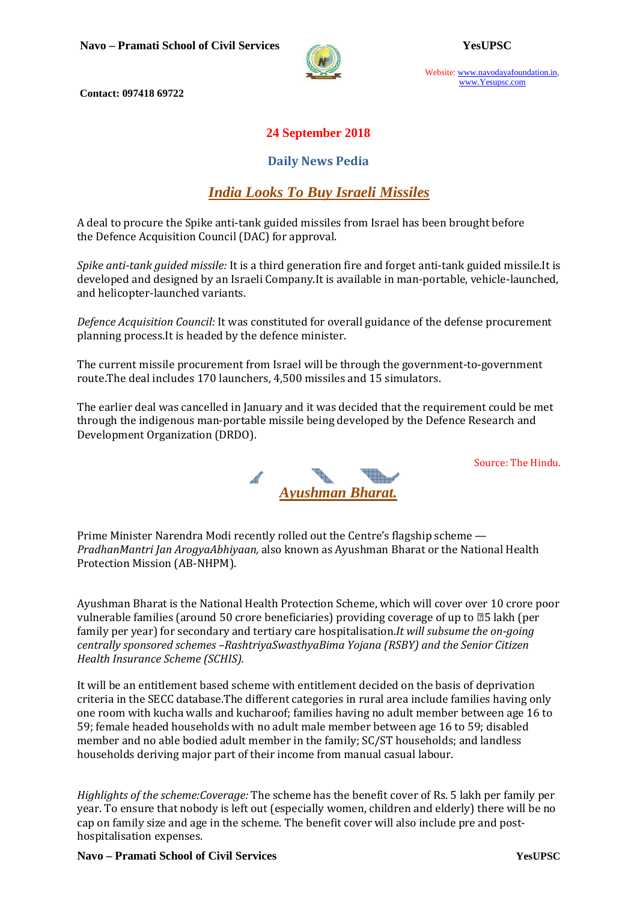



Website: www.navodayafoundation.in, www.Yesupsc.com

 **Contact: 097418 69722** 

#### **24 September 2018**

#### **Daily News Pedia**

### *India Looks To Buy Israeli Missiles*

A deal to procure the Spike anti-tank guided missiles from Israel has been brought before the Defence Acquisition Council (DAC) for approval.

*Spike anti-tank guided missile:* It is a third generation fire and forget anti-tank guided missile.It is developed and designed by an Israeli Company.It is available in man-portable, vehicle-launched, and helicopter-launched variants.

*Defence Acquisition Council:* It was constituted for overall guidance of the defense procurement planning process.It is headed by the defence minister.

The current missile procurement from Israel will be through the government-to-government route.The deal includes 170 launchers, 4,500 missiles and 15 simulators.

The earlier deal was cancelled in January and it was decided that the requirement could be met through the indigenous man-portable missile being developed by the Defence Research and Development Organization (DRDO).

Source: The Hindu.



Prime Minister Narendra Modi recently rolled out the Centre's flagship scheme — *PradhanMantri Jan ArogyaAbhiyaan,* also known as Ayushman Bharat or the National Health Protection Mission (AB-NHPM).

Ayushman Bharat is the National Health Protection Scheme, which will cover over 10 crore poor vulnerable families (around 50 crore beneficiaries) providing coverage of up to  $\mathbb{Z}5$  lakh (per family per year) for secondary and tertiary care hospitalisation.*It will subsume the on-going centrally sponsored schemes –RashtriyaSwasthyaBima Yojana (RSBY) and the Senior Citizen Health Insurance Scheme (SCHIS).* 

It will be an entitlement based scheme with entitlement decided on the basis of deprivation criteria in the SECC database.The different categories in rural area include families having only one room with kucha walls and kucharoof; families having no adult member between age 16 to 59; female headed households with no adult male member between age 16 to 59; disabled member and no able bodied adult member in the family; SC/ST households; and landless households deriving major part of their income from manual casual labour.

*Highlights of the scheme:Coverage:* The scheme has the benefit cover of Rs. 5 lakh per family per year. To ensure that nobody is left out (especially women, children and elderly) there will be no cap on family size and age in the scheme. The benefit cover will also include pre and posthospitalisation expenses.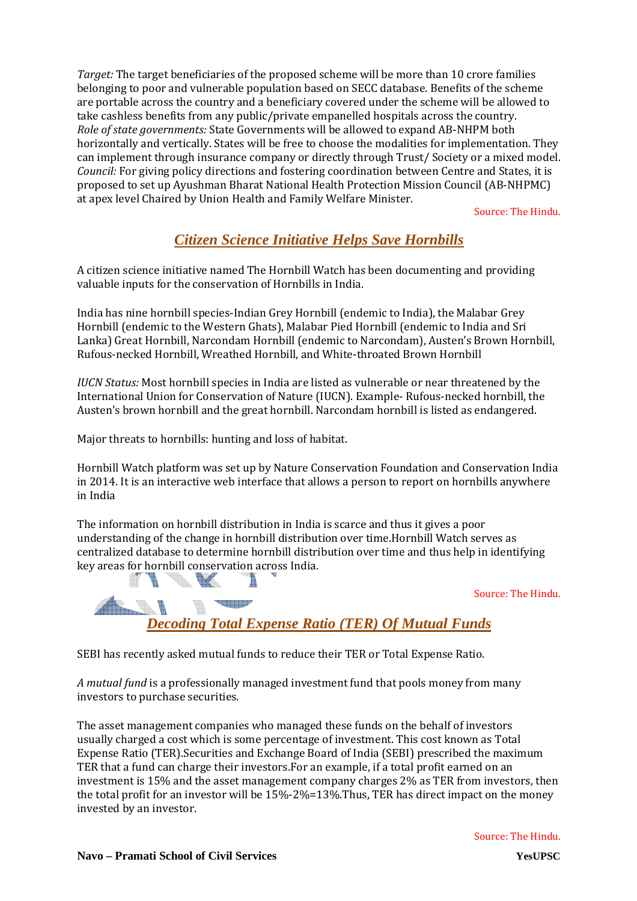*Target:* The target beneficiaries of the proposed scheme will be more than 10 crore families belonging to poor and vulnerable population based on SECC database. Benefits of the scheme are portable across the country and a beneficiary covered under the scheme will be allowed to take cashless benefits from any public/private empanelled hospitals across the country. *Role of state governments:* State Governments will be allowed to expand AB-NHPM both horizontally and vertically. States will be free to choose the modalities for implementation. They can implement through insurance company or directly through Trust/ Society or a mixed model. *Council:* For giving policy directions and fostering coordination between Centre and States, it is proposed to set up Ayushman Bharat National Health Protection Mission Council (AB-NHPMC) at apex level Chaired by Union Health and Family Welfare Minister.

Source: The Hindu.

# *Citizen Science Initiative Helps Save Hornbills*

A citizen science initiative named The Hornbill Watch has been documenting and providing valuable inputs for the conservation of Hornbills in India.

India has nine hornbill species-Indian Grey Hornbill (endemic to India), the Malabar Grey Hornbill (endemic to the Western Ghats), Malabar Pied Hornbill (endemic to India and Sri Lanka) Great Hornbill, Narcondam Hornbill (endemic to Narcondam), Austen's Brown Hornbill, Rufous-necked Hornbill, Wreathed Hornbill, and White-throated Brown Hornbill

*IUCN Status:* Most hornbill species in India are listed as vulnerable or near threatened by the International Union for Conservation of Nature (IUCN). Example- Rufous-necked hornbill, the Austen's brown hornbill and the great hornbill. Narcondam hornbill is listed as endangered.

Major threats to hornbills: hunting and loss of habitat.

**SACHER OF** 

Hornbill Watch platform was set up by Nature Conservation Foundation and Conservation India in 2014. It is an interactive web interface that allows a person to report on hornbills anywhere in India

The information on hornbill distribution in India is scarce and thus it gives a poor understanding of the change in hornbill distribution over time.Hornbill Watch serves as centralized database to determine hornbill distribution over time and thus help in identifying key areas for hornbill conservation across India. V. W  $\blacksquare$ ħ

Source: The Hindu.

*Decoding Total Expense Ratio (TER) Of Mutual Funds*

SEBI has recently asked mutual funds to reduce their TER or Total Expense Ratio.

*A mutual fund* is a professionally managed investment fund that pools money from many investors to purchase securities.

The asset management companies who managed these funds on the behalf of investors usually charged a cost which is some percentage of investment. This cost known as Total Expense Ratio (TER).Securities and Exchange Board of India (SEBI) prescribed the maximum TER that a fund can charge their investors.For an example, if a total profit earned on an investment is 15% and the asset management company charges 2% as TER from investors, then the total profit for an investor will be 15%-2%=13%.Thus, TER has direct impact on the money invested by an investor.

**Bandar**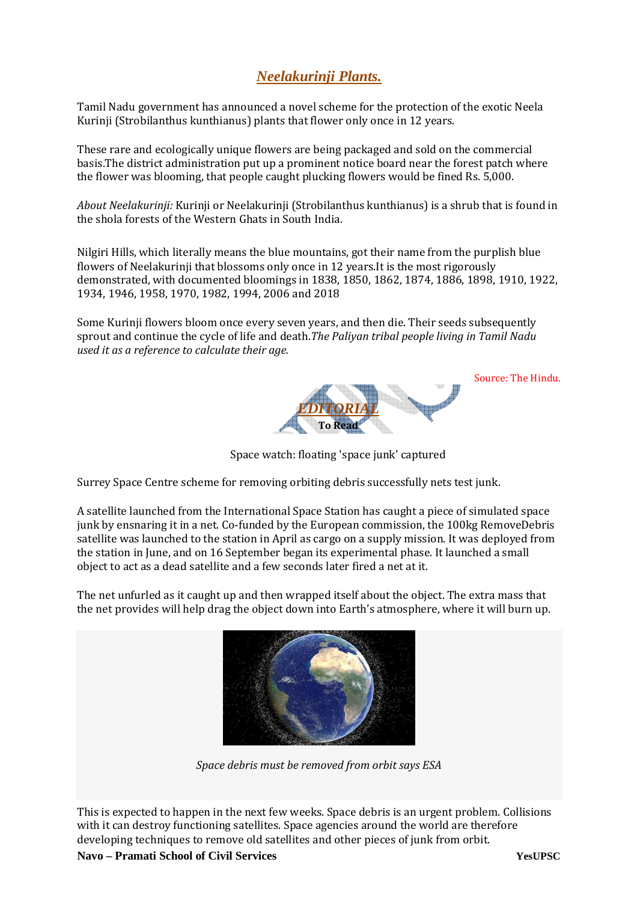## *Neelakurinji Plants.*

Tamil Nadu government has announced a novel scheme for the protection of the exotic Neela Kurinji (Strobilanthus kunthianus) plants that flower only once in 12 years.

These rare and ecologically unique flowers are being packaged and sold on the commercial basis.The district administration put up a prominent notice board near the forest patch where the flower was blooming, that people caught plucking flowers would be fined Rs. 5,000.

*About Neelakurinji:* Kurinji or Neelakurinji (Strobilanthus kunthianus) is a shrub that is found in the shola forests of the Western Ghats in South India.

Nilgiri Hills, which literally means the blue mountains, got their name from the purplish blue flowers of Neelakurinji that blossoms only once in 12 years.It is the most rigorously demonstrated, with documented bloomings in 1838, 1850, 1862, 1874, 1886, 1898, 1910, 1922, 1934, 1946, 1958, 1970, 1982, 1994, 2006 and 2018

Some Kurinji flowers bloom once every seven years, and then die. Their seeds subsequently sprout and continue the cycle of life and death.*The Paliyan tribal people living in Tamil Nadu used it as a reference to calculate their age.* 



Source: The Hindu.

Space watch: floating 'space junk' captured

Surrey Space Centre scheme for removing orbiting debris successfully nets test junk.

A satellite launched from the International Space Station has caught a piece of simulated space junk by ensnaring it in a net. Co-funded by the European commission, the 100kg RemoveDebris satellite was launched to the station in April as cargo on a supply mission. It was deployed from the station in June, and on 16 September began its experimental phase. It launched a small object to act as a dead satellite and a few seconds later fired a net at it.

The net unfurled as it caught up and then wrapped itself about the object. The extra mass that the net provides will help drag the object down into Earth's atmosphere, where it will burn up.



*Space debris must be removed from orbit says ESA* 

This is expected to happen in the next few weeks. Space debris is an urgent problem. Collisions with it can destroy functioning satellites. Space agencies around the world are therefore developing techniques to remove old satellites and other pieces of junk from orbit.